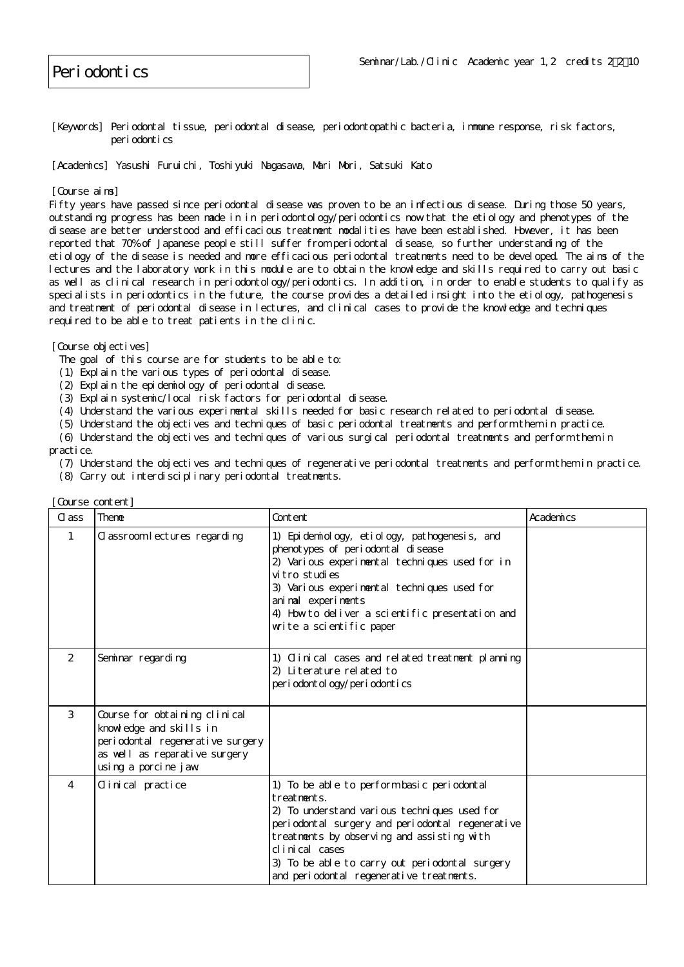## Periodontics

[Keywords] Periodontal tissue, periodontal disease, periodontopathic bacteria, immune response, risk factors, periodontics

[Academics] Yasushi Furuichi, Toshiyuki Nagasawa, Mari Mori, Satsuki Kato

[Course aims]

Fifty years have passed since periodontal disease was proven to be an infectious disease. During those 50 years, outstanding progress has been made in in periodontology/periodontics now that the etiology and phenotypes of the disease are better understood and efficacious treatment modalities have been established. However, it has been reported that 70% of Japanese people still suffer from periodontal disease, so further understanding of the etiology of the disease is needed and more efficacious periodontal treatments need to be developed. The aims of the lectures and the laboratory work in this module are to obtain the knowledge and skills required to carry out basic as well as clinical research in periodontology/periodontics. In addition, in order to enable students to qualify as specialists in periodontics in the future, the course provides a detailed insight into the etiology, pathogenesis and treatment of periodontal disease in lectures, and clinical cases to provide the knowledge and techniques required to be able to treat patients in the clinic.

[Course objectives]

- The goal of this course are for students to be able to:
- (1) Explain the various types of periodontal disease.
- (2) Explain the epidemiology of periodontal disease.
- (3) Explain systemic/local risk factors for periodontal disease.
- (4) Understand the various experimental skills needed for basic research related to periodontal disease.
- (5) Understand the objectives and techniques of basic periodontal treatments and perform them in practice.
- (6) Understand the objectives and techniques of various surgical periodontal treatments and perform them in practice.
	- (7) Understand the objectives and techniques of regenerative periodontal treatments and perform them in practice.
	- (8) Carry out interdisciplinary periodontal treatments.

| was accounted it |                                                                                                                                                      |                                                                                                                                                                                                                                                                                                                             |           |
|------------------|------------------------------------------------------------------------------------------------------------------------------------------------------|-----------------------------------------------------------------------------------------------------------------------------------------------------------------------------------------------------------------------------------------------------------------------------------------------------------------------------|-----------|
| C ass            | Theme                                                                                                                                                | Content                                                                                                                                                                                                                                                                                                                     | Academics |
| 1                | Classroom lectures regarding                                                                                                                         | 1) Epidemiology, etiology, pathogenesis, and<br>phenotypes of periodontal disease<br>2) Various experimental techniques used for in<br>vitro studies<br>3) Various experimental techniques used for<br>animal experiments<br>4) How to deliver a scientific presentation and<br>write a scientific paper                    |           |
| 2                | Seminar regarding                                                                                                                                    | 1) Clinical cases and related treatment planning<br>2) Literature related to<br>per i odont ol ogy/per i odont i cs                                                                                                                                                                                                         |           |
| 3                | Course for obtaining clinical<br>knowledge and skills in<br>periodontal regenerative surgery<br>as well as reparative surgery<br>using a porcine jaw |                                                                                                                                                                                                                                                                                                                             |           |
| 4                | Clinical practice                                                                                                                                    | 1) To be able to perform basic periodontal<br>treatments.<br>2) To understand various techniques used for<br>periodontal surgery and periodontal regenerative<br>treatments by observing and assisting with<br>clinical cases<br>3) To be able to carry out periodontal surgery<br>and periodontal regenerative treatments. |           |

[Course content]